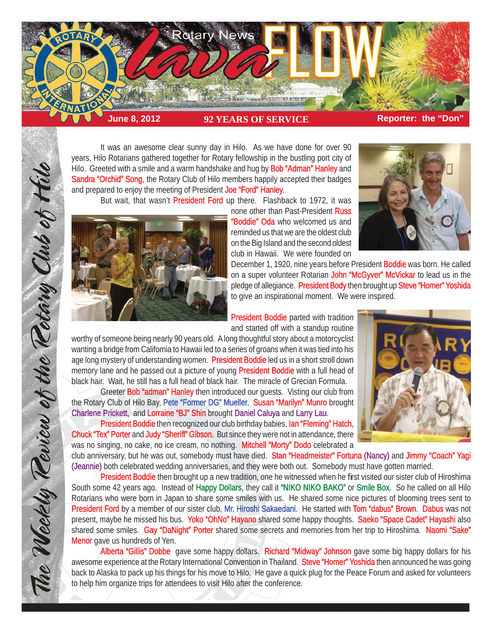

 It was an awesome clear sunny day in Hilo. As we have done for over 90 years, Hilo Rotarians gathered together for Rotary fellowship in the bustling port city of Hilo. Greeted with a smile and a warm handshake and hug by **Bob "Adman" Hanley** and Sandra "Orchid" Song, the Rotary Club of Hilo members happily accepted their badges and prepared to enjoy the meeting of President Joe "Ford" Hanley.

But wait, that wasn't **President Ford** up there. Flashback to 1972, it was



The Weekly Teview of the Tetary Club of Hilo

none other than Past-President Russ "Boddie" Oda who welcomed us and reminded us that we are the oldest club on the Big Island and the second oldest club in Hawaii. We were founded on

December 1, 1920, nine years before President **Boddie** was born. He called on a super volunteer Rotarian John "McGyver" McVickar to lead us in the pledge of allegiance. President Body then brought up Steve "Homer" Yoshida to give an inspirational moment. We were inspired.

President Boddie parted with tradition and started off with a standup routine

worthy of someone being nearly 90 years old. A long thoughtful story about a motorcyclist wanting a bridge from California to Hawaii led to a series of groans when it was tied into his age long mystery of understanding women. President Boddie led us in a short stroll down memory lane and he passed out a picture of young President Boddie with a full head of black hair. Wait, he still has a full head of black hair. The miracle of Grecian Formula.

Greeter Bob "adman" Hanley then introduced our quests. Visting our club from the Rotary Club of Hilo Bay, Pete "Former DG" Mueller. Susan "Marilyn" Munro brought Charlene Prickett, and Lorraine "BJ" Shin brought Daniel Caluya and Larry Lau.

President Boddie then recognized our club birthday babies, Ian "Fleming" Hatch, Chuck "Tex" Porter and Judy "Sheriff" Gibson. But since they were not in attendance, there was no singing, no cake, no ice cream, no nothing. Mitchell "Morty" Dodo celebrated a



club anniversary, but he was out, somebody must have died. Stan "Headmeister" Fortuna (Nancy) and Jimmy "Coach" Yagi (Jeannie) both celebrated wedding anniversaries, and they were both out. Somebody must have gotten married.

President Boddie then brought up a new tradition, one he witnessed when he first visited our sister club of Hiroshima South some 42 years ago. Instead of Happy Dollars, they call it "NIKO NIKO BAKO" or Smile Box. So he called on all Hilo Rotarians who were born in Japan to share some smiles with us. He shared some nice pictures of blooming trees sent to President Ford by a member of our sister club, Mr. Hiroshi Sakaedani. He started with Tom "dabus" Brown. Dabus was not present, maybe he missed his bus. Yoko "OhNo" Hayano shared some happy thoughts. Saeko "Space Cadet" Hayashi also shared some smiles. Gay "DaNight" Porter shared some secrets and memories from her trip to Hiroshima. Naomi "Sake" Menor gave us hundreds of Yen.

Alberta "Gillis" Dobbe gave some happy dollars. Richard "Midway" Johnson gave some big happy dollars for his awesome experience at the Rotary International Convention in Thailand. Steve "Homer" Yoshida then announced he was going back to Alaska to pack up his things for his move to Hilo. He gave a quick plug for the Peace Forum and asked for volunteers to help him organize trips for attendees to visit Hilo after the conference.